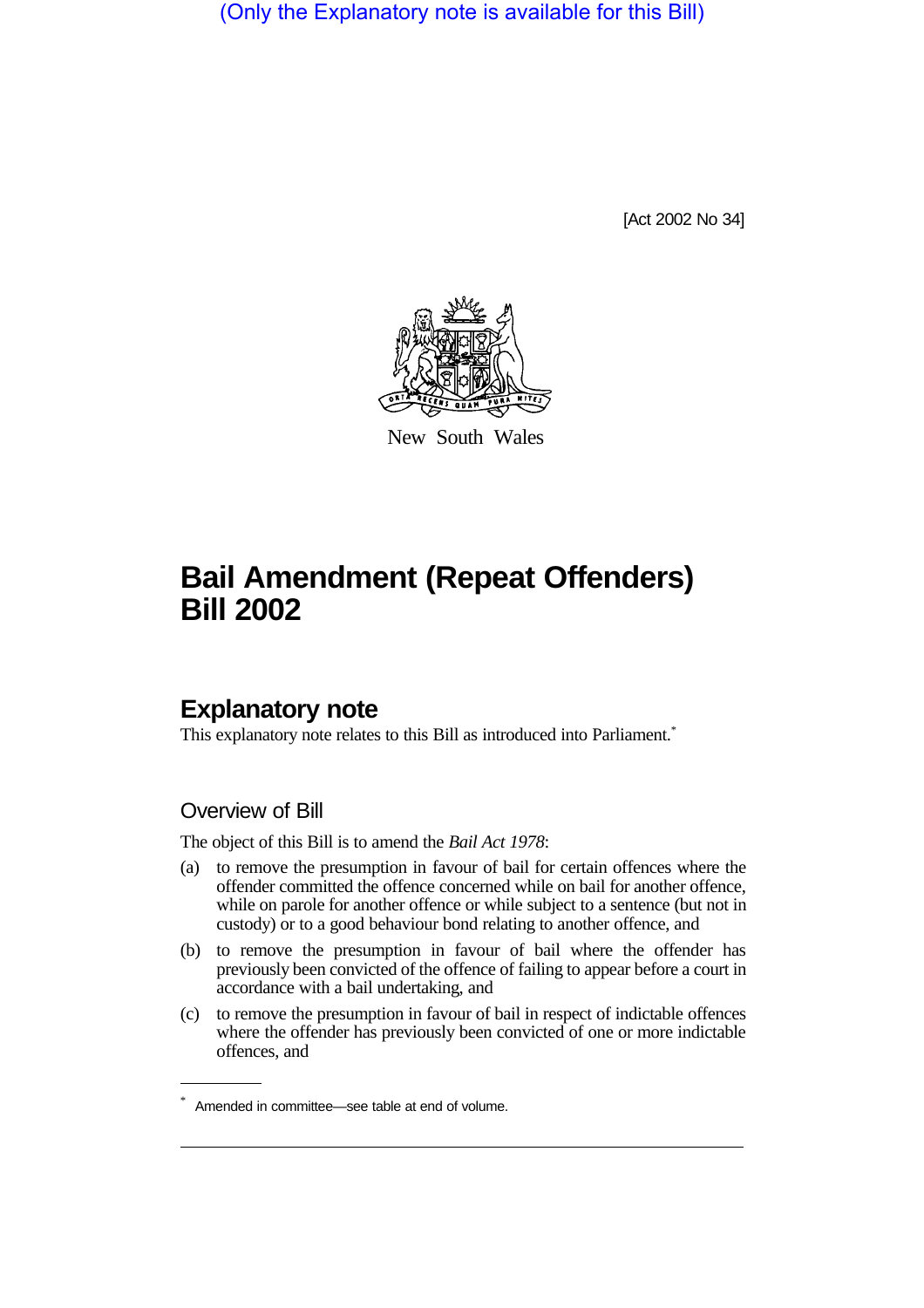(Only the Explanatory note is available for this Bill)

[Act 2002 No 34]



New South Wales

# **Bail Amendment (Repeat Offenders) Bill 2002**

## **Explanatory note**

This explanatory note relates to this Bill as introduced into Parliament.<sup>\*</sup>

## Overview of Bill

The object of this Bill is to amend the *Bail Act 1978*:

- (a) to remove the presumption in favour of bail for certain offences where the offender committed the offence concerned while on bail for another offence, while on parole for another offence or while subject to a sentence (but not in custody) or to a good behaviour bond relating to another offence, and
- (b) to remove the presumption in favour of bail where the offender has previously been convicted of the offence of failing to appear before a court in accordance with a bail undertaking, and
- (c) to remove the presumption in favour of bail in respect of indictable offences where the offender has previously been convicted of one or more indictable offences, and

Amended in committee—see table at end of volume.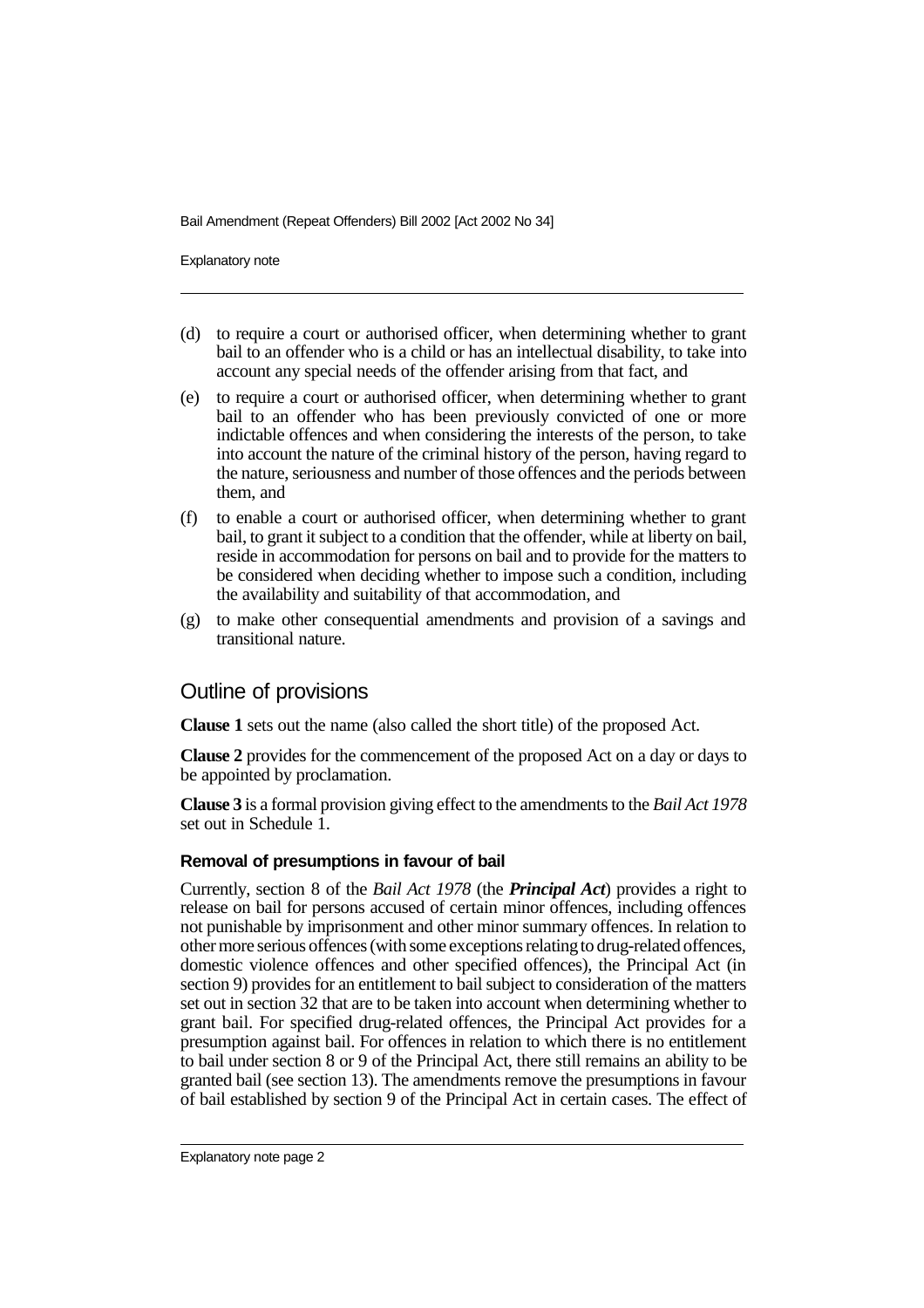Bail Amendment (Repeat Offenders) Bill 2002 [Act 2002 No 34]

Explanatory note

- (d) to require a court or authorised officer, when determining whether to grant bail to an offender who is a child or has an intellectual disability, to take into account any special needs of the offender arising from that fact, and
- (e) to require a court or authorised officer, when determining whether to grant bail to an offender who has been previously convicted of one or more indictable offences and when considering the interests of the person, to take into account the nature of the criminal history of the person, having regard to the nature, seriousness and number of those offences and the periods between them, and
- (f) to enable a court or authorised officer, when determining whether to grant bail, to grant it subject to a condition that the offender, while at liberty on bail, reside in accommodation for persons on bail and to provide for the matters to be considered when deciding whether to impose such a condition, including the availability and suitability of that accommodation, and
- (g) to make other consequential amendments and provision of a savings and transitional nature.

## Outline of provisions

**Clause 1** sets out the name (also called the short title) of the proposed Act.

**Clause 2** provides for the commencement of the proposed Act on a day or days to be appointed by proclamation.

**Clause 3** is a formal provision giving effect to the amendments to the *Bail Act 1978* set out in Schedule 1.

### **Removal of presumptions in favour of bail**

Currently, section 8 of the *Bail Act 1978* (the *Principal Act*) provides a right to release on bail for persons accused of certain minor offences, including offences not punishable by imprisonment and other minor summary offences. In relation to other more serious offences (with some exceptions relatingto drug-related offences, domestic violence offences and other specified offences), the Principal Act (in section 9) provides for an entitlement to bail subject to consideration of the matters set out in section 32 that are to be taken into account when determining whether to grant bail. For specified drug-related offences, the Principal Act provides for a presumption against bail. For offences in relation to which there is no entitlement to bail under section 8 or 9 of the Principal Act, there still remains an ability to be granted bail (see section 13). The amendments remove the presumptions in favour of bail established by section 9 of the Principal Act in certain cases. The effect of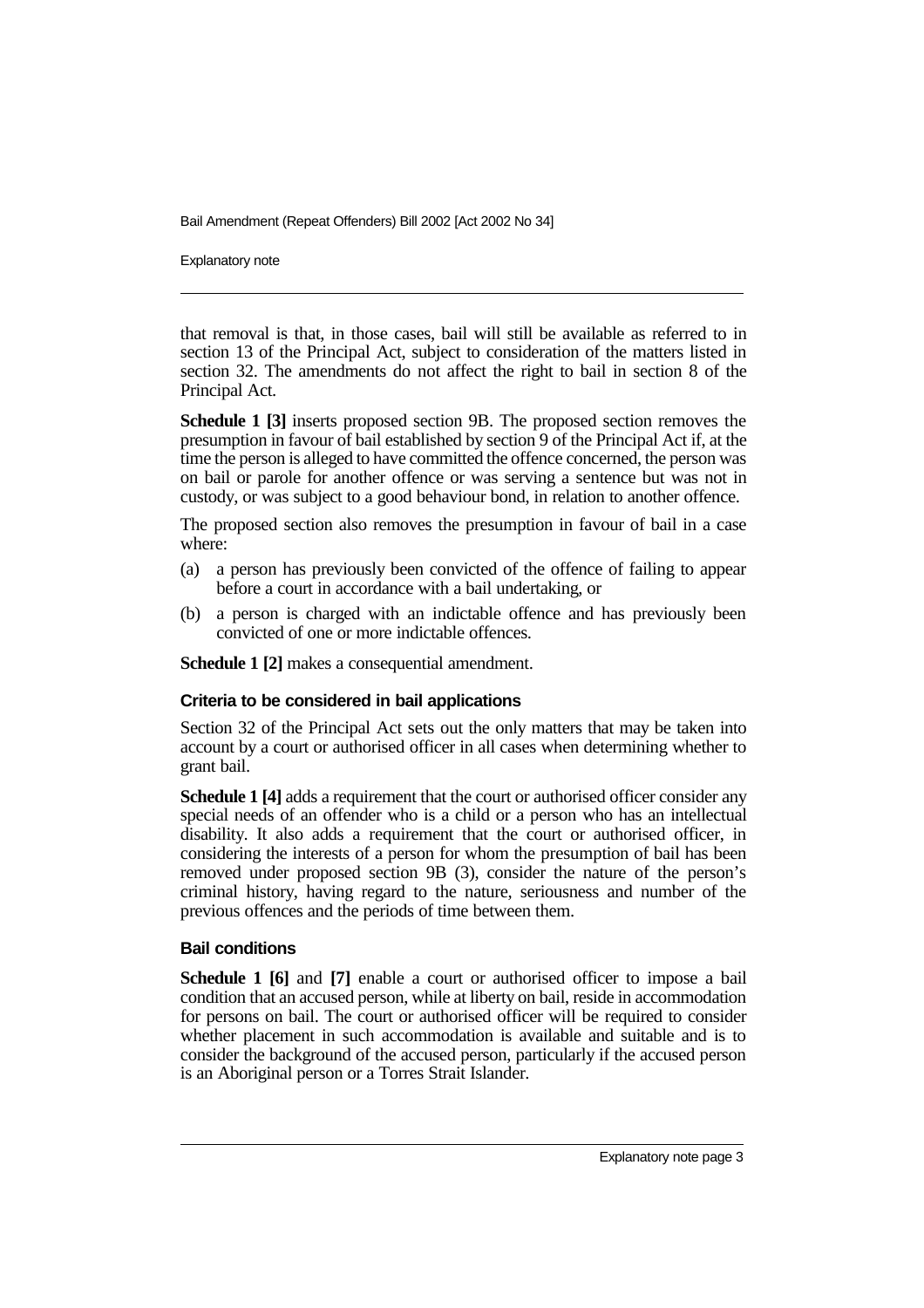Bail Amendment (Repeat Offenders) Bill 2002 [Act 2002 No 34]

Explanatory note

that removal is that, in those cases, bail will still be available as referred to in section 13 of the Principal Act, subject to consideration of the matters listed in section 32. The amendments do not affect the right to bail in section 8 of the Principal Act.

**Schedule 1 [3]** inserts proposed section 9B. The proposed section removes the presumption in favour of bail established by section 9 of the Principal Act if, at the time the person is alleged to have committed the offence concerned, the person was on bail or parole for another offence or was serving a sentence but was not in custody, or was subject to a good behaviour bond, in relation to another offence.

The proposed section also removes the presumption in favour of bail in a case where:

- (a) a person has previously been convicted of the offence of failing to appear before a court in accordance with a bail undertaking, or
- (b) a person is charged with an indictable offence and has previously been convicted of one or more indictable offences.

**Schedule 1 [2]** makes a consequential amendment.

### **Criteria to be considered in bail applications**

Section 32 of the Principal Act sets out the only matters that may be taken into account by a court or authorised officer in all cases when determining whether to grant bail.

**Schedule 1 [4]** adds a requirement that the court or authorised officer consider any special needs of an offender who is a child or a person who has an intellectual disability. It also adds a requirement that the court or authorised officer, in considering the interests of a person for whom the presumption of bail has been removed under proposed section 9B (3), consider the nature of the person's criminal history, having regard to the nature, seriousness and number of the previous offences and the periods of time between them.

### **Bail conditions**

**Schedule 1 [6]** and **[7]** enable a court or authorised officer to impose a bail condition that an accused person, while at liberty on bail, reside in accommodation for persons on bail. The court or authorised officer will be required to consider whether placement in such accommodation is available and suitable and is to consider the background of the accused person, particularly if the accused person is an Aboriginal person or a Torres Strait Islander.